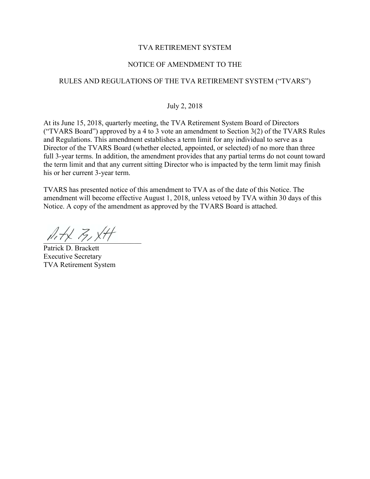## TVA RETIREMENT SYSTEM

## NOTICE OF AMENDMENT TO THE

# RULES AND REGULATIONS OF THE TVA RETIREMENT SYSTEM ("TVARS")

#### July 2, 2018

At its June 15, 2018, quarterly meeting, the TVA Retirement System Board of Directors ("TVARS Board") approved by a 4 to 3 vote an amendment to Section  $3(2)$  of the TVARS Rules and Regulations. This amendment establishes a term limit for any individual to serve as a Director of the TVARS Board (whether elected, appointed, or selected) of no more than three full 3-year terms. In addition, the amendment provides that any partial terms do not count toward the term limit and that any current sitting Director who is impacted by the term limit may finish his or her current 3-year term.

TVARS has presented notice of this amendment to TVA as of the date of this Notice. The amendment will become effective August 1, 2018, unless vetoed by TVA within 30 days of this Notice. A copy of the amendment as approved by the TVARS Board is attached.

 $hH\not\vdash k$   $\not\vdash$  ,  $xH$ 

Patrick D. Brackett Executive Secretary TVA Retirement System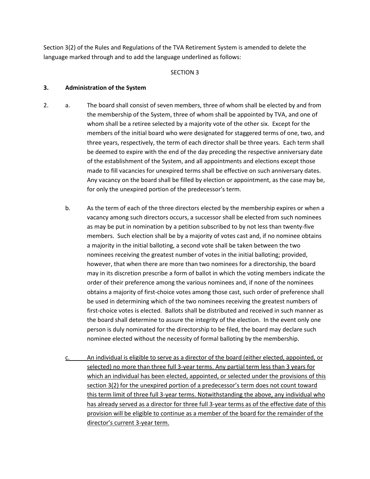Section 3(2) of the Rules and Regulations of the TVA Retirement System is amended to delete the language marked through and to add the language underlined as follows:

#### SECTION 3

#### **3. Administration of the System**

- 2. a. The board shall consist of seven members, three of whom shall be elected by and from the membership of the System, three of whom shall be appointed by TVA, and one of whom shall be a retiree selected by a majority vote of the other six. Except for the members of the initial board who were designated for staggered terms of one, two, and three years, respectively, the term of each director shall be three years. Each term shall be deemed to expire with the end of the day preceding the respective anniversary date of the establishment of the System, and all appointments and elections except those made to fill vacancies for unexpired terms shall be effective on such anniversary dates. Any vacancy on the board shall be filled by election or appointment, as the case may be, for only the unexpired portion of the predecessor's term.
	- b. As the term of each of the three directors elected by the membership expires or when a vacancy among such directors occurs, a successor shall be elected from such nominees as may be put in nomination by a petition subscribed to by not less than twenty-five members. Such election shall be by a majority of votes cast and, if no nominee obtains a majority in the initial balloting, a second vote shall be taken between the two nominees receiving the greatest number of votes in the initial balloting; provided, however, that when there are more than two nominees for a directorship, the board may in its discretion prescribe a form of ballot in which the voting members indicate the order of their preference among the various nominees and, if none of the nominees obtains a majority of first-choice votes among those cast, such order of preference shall be used in determining which of the two nominees receiving the greatest numbers of first-choice votes is elected. Ballots shall be distributed and received in such manner as the board shall determine to assure the integrity of the election. In the event only one person is duly nominated for the directorship to be filed, the board may declare such nominee elected without the necessity of formal balloting by the membership.
	- c. An individual is eligible to serve as a director of the board (either elected, appointed, or selected) no more than three full 3-year terms. Any partial term less than 3 years for which an individual has been elected, appointed, or selected under the provisions of this section 3(2) for the unexpired portion of a predecessor's term does not count toward this term limit of three full 3-year terms. Notwithstanding the above, any individual who has already served as a director for three full 3-year terms as of the effective date of this provision will be eligible to continue as a member of the board for the remainder of the director's current 3-year term.